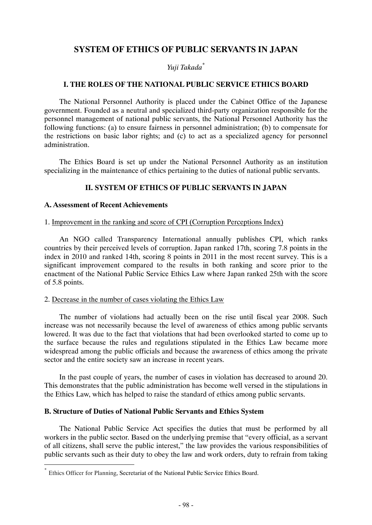# **SYSTEM OF ETHICS OF PUBLIC SERVANTS IN JAPAN**

*Yuji Takada\**

### **I. THE ROLES OF THE NATIONAL PUBLIC SERVICE ETHICS BOARD**

The National Personnel Authority is placed under the Cabinet Office of the Japanese government. Founded as a neutral and specialized third-party organization responsible for the personnel management of national public servants, the National Personnel Authority has the following functions: (a) to ensure fairness in personnel administration; (b) to compensate for the restrictions on basic labor rights; and (c) to act as a specialized agency for personnel administration.

The Ethics Board is set up under the National Personnel Authority as an institution specializing in the maintenance of ethics pertaining to the duties of national public servants.

# **II. SYSTEM OF ETHICS OF PUBLIC SERVANTS IN JAPAN**

# **A. Assessment of Recent Achievements**

#### 1. Improvement in the ranking and score of CPI (Corruption Perceptions Index)

An NGO called Transparency International annually publishes CPI, which ranks countries by their perceived levels of corruption. Japan ranked 17th, scoring 7.8 points in the index in 2010 and ranked 14th, scoring 8 points in 2011 in the most recent survey. This is a significant improvement compared to the results in both ranking and score prior to the enactment of the National Public Service Ethics Law where Japan ranked 25th with the score of 5.8 points.

# 2. Decrease in the number of cases violating the Ethics Law

The number of violations had actually been on the rise until fiscal year 2008. Such increase was not necessarily because the level of awareness of ethics among public servants lowered. It was due to the fact that violations that had been overlooked started to come up to the surface because the rules and regulations stipulated in the Ethics Law became more widespread among the public officials and because the awareness of ethics among the private sector and the entire society saw an increase in recent years.

In the past couple of years, the number of cases in violation has decreased to around 20. This demonstrates that the public administration has become well versed in the stipulations in the Ethics Law, which has helped to raise the standard of ethics among public servants.

# **B. Structure of Duties of National Public Servants and Ethics System**

The National Public Service Act specifies the duties that must be performed by all workers in the public sector. Based on the underlying premise that "every official, as a servant of all citizens, shall serve the public interest," the law provides the various responsibilities of public servants such as their duty to obey the law and work orders, duty to refrain from taking

Ethics Officer for Planning, Secretariat of the National Public Service Ethics Board.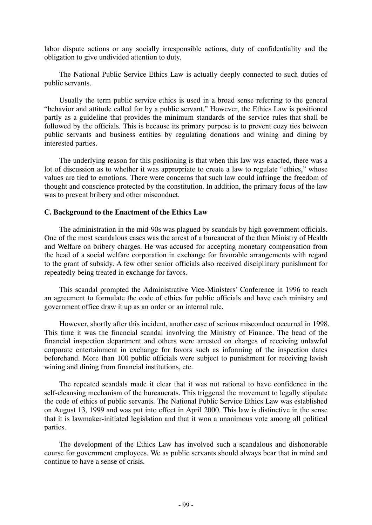labor dispute actions or any socially irresponsible actions, duty of confidentiality and the obligation to give undivided attention to duty.

The National Public Service Ethics Law is actually deeply connected to such duties of public servants.

Usually the term public service ethics is used in a broad sense referring to the general "behavior and attitude called for by a public servant." However, the Ethics Law is positioned partly as a guideline that provides the minimum standards of the service rules that shall be followed by the officials. This is because its primary purpose is to prevent cozy ties between public servants and business entities by regulating donations and wining and dining by interested parties.

The underlying reason for this positioning is that when this law was enacted, there was a lot of discussion as to whether it was appropriate to create a law to regulate "ethics," whose values are tied to emotions. There were concerns that such law could infringe the freedom of thought and conscience protected by the constitution. In addition, the primary focus of the law was to prevent bribery and other misconduct.

# **C. Background to the Enactment of the Ethics Law**

The administration in the mid-90s was plagued by scandals by high government officials. One of the most scandalous cases was the arrest of a bureaucrat of the then Ministry of Health and Welfare on bribery charges. He was accused for accepting monetary compensation from the head of a social welfare corporation in exchange for favorable arrangements with regard to the grant of subsidy. A few other senior officials also received disciplinary punishment for repeatedly being treated in exchange for favors.

This scandal prompted the Administrative Vice-Ministers' Conference in 1996 to reach an agreement to formulate the code of ethics for public officials and have each ministry and government office draw it up as an order or an internal rule.

However, shortly after this incident, another case of serious misconduct occurred in 1998. This time it was the financial scandal involving the Ministry of Finance. The head of the financial inspection department and others were arrested on charges of receiving unlawful corporate entertainment in exchange for favors such as informing of the inspection dates beforehand. More than 100 public officials were subject to punishment for receiving lavish wining and dining from financial institutions, etc.

The repeated scandals made it clear that it was not rational to have confidence in the self-cleansing mechanism of the bureaucrats. This triggered the movement to legally stipulate the code of ethics of public servants. The National Public Service Ethics Law was established on August 13, 1999 and was put into effect in April 2000. This law is distinctive in the sense that it is lawmaker-initiated legislation and that it won a unanimous vote among all political parties.

The development of the Ethics Law has involved such a scandalous and dishonorable course for government employees. We as public servants should always bear that in mind and continue to have a sense of crisis.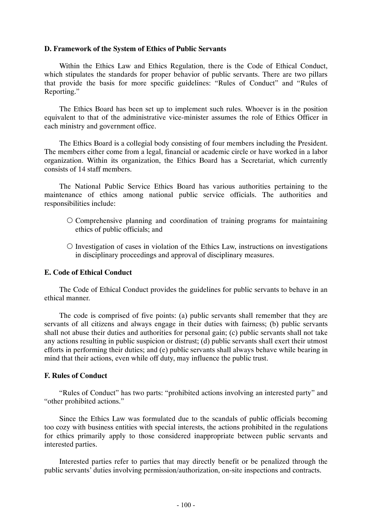#### **D. Framework of the System of Ethics of Public Servants**

Within the Ethics Law and Ethics Regulation, there is the Code of Ethical Conduct, which stipulates the standards for proper behavior of public servants. There are two pillars that provide the basis for more specific guidelines: "Rules of Conduct" and "Rules of Reporting."

The Ethics Board has been set up to implement such rules. Whoever is in the position equivalent to that of the administrative vice-minister assumes the role of Ethics Officer in each ministry and government office.

The Ethics Board is a collegial body consisting of four members including the President. The members either come from a legal, financial or academic circle or have worked in a labor organization. Within its organization, the Ethics Board has a Secretariat, which currently consists of 14 staff members.

The National Public Service Ethics Board has various authorities pertaining to the maintenance of ethics among national public service officials. The authorities and responsibilities include:

- ${\rm O}$  Comprehensive planning and coordination of training programs for maintaining ethics of public officials; and
- $\circ$  Investigation of cases in violation of the Ethics Law, instructions on investigations in disciplinary proceedings and approval of disciplinary measures.

# **E. Code of Ethical Conduct**

The Code of Ethical Conduct provides the guidelines for public servants to behave in an ethical manner.

The code is comprised of five points: (a) public servants shall remember that they are servants of all citizens and always engage in their duties with fairness; (b) public servants shall not abuse their duties and authorities for personal gain; (c) public servants shall not take any actions resulting in public suspicion or distrust; (d) public servants shall exert their utmost efforts in performing their duties; and (e) public servants shall always behave while bearing in mind that their actions, even while off duty, may influence the public trust.

#### **F. Rules of Conduct**

"Rules of Conduct" has two parts: "prohibited actions involving an interested party" and "other prohibited actions."

Since the Ethics Law was formulated due to the scandals of public officials becoming too cozy with business entities with special interests, the actions prohibited in the regulations for ethics primarily apply to those considered inappropriate between public servants and interested parties.

Interested parties refer to parties that may directly benefit or be penalized through the public servants' duties involving permission/authorization, on-site inspections and contracts.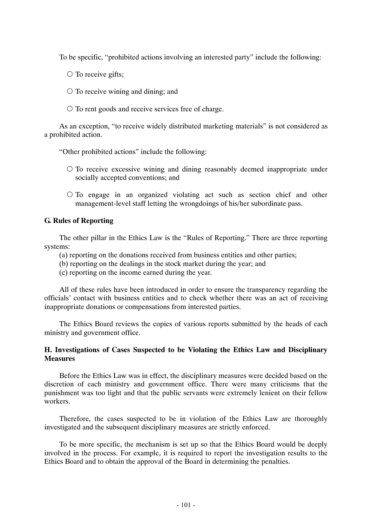To be specific, "prohibited actions involving an interested party" include the following:

- ${\circ}$  To receive gifts;
- ${\circ}$  To receive wining and dining; and
- ${\circ}$  To rent goods and receive services free of charge.

As an exception, "to receive widely distributed marketing materials" is not considered as a prohibited action.

"Other prohibited actions" include the following:

- ${\circ}$  To receive excessive wining and dining reasonably deemed inappropriate under socially accepted conventions; and
- ${\circ}$  To engage in an organized violating act such as section chief and other management-level staff letting the wrongdoings of his/her subordinate pass.

# **G. Rules of Reporting**

The other pillar in the Ethics Law is the "Rules of Reporting." There are three reporting systems:

- (a) reporting on the donations received from business entities and other parties;
- (b) reporting on the dealings in the stock market during the year; and
- (c) reporting on the income earned during the year.

All of these rules have been introduced in order to ensure the transparency regarding the officials' contact with business entities and to check whether there was an act of receiving inappropriate donations or compensations from interested parties.

The Ethics Board reviews the copies of various reports submitted by the heads of each ministry and government office.

# **H. Investigations of Cases Suspected to be Violating the Ethics Law and Disciplinary Measures**

Before the Ethics Law was in effect, the disciplinary measures were decided based on the discretion of each ministry and government office. There were many criticisms that the punishment was too light and that the public servants were extremely lenient on their fellow workers.

Therefore, the cases suspected to be in violation of the Ethics Law are thoroughly investigated and the subsequent disciplinary measures are strictly enforced.

To be more specific, the mechanism is set up so that the Ethics Board would be deeply involved in the process. For example, it is required to report the investigation results to the Ethics Board and to obtain the approval of the Board in determining the penalties.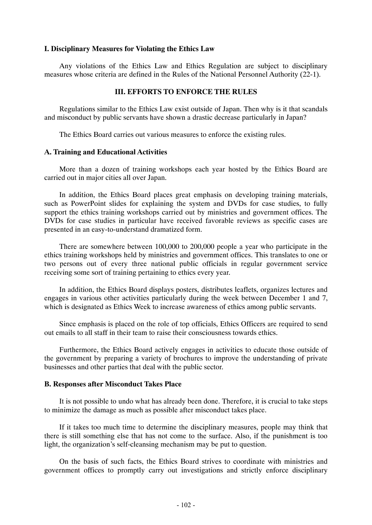#### **I. Disciplinary Measures for Violating the Ethics Law**

Any violations of the Ethics Law and Ethics Regulation are subject to disciplinary measures whose criteria are defined in the Rules of the National Personnel Authority (22-1).

#### **III. EFFORTS TO ENFORCE THE RULES**

Regulations similar to the Ethics Law exist outside of Japan. Then why is it that scandals and misconduct by public servants have shown a drastic decrease particularly in Japan?

The Ethics Board carries out various measures to enforce the existing rules.

#### **A. Training and Educational Activities**

More than a dozen of training workshops each year hosted by the Ethics Board are carried out in major cities all over Japan.

In addition, the Ethics Board places great emphasis on developing training materials, such as PowerPoint slides for explaining the system and DVDs for case studies, to fully support the ethics training workshops carried out by ministries and government offices. The DVDs for case studies in particular have received favorable reviews as specific cases are presented in an easy-to-understand dramatized form.

There are somewhere between 100,000 to 200,000 people a year who participate in the ethics training workshops held by ministries and government offices. This translates to one or two persons out of every three national public officials in regular government service receiving some sort of training pertaining to ethics every year.

In addition, the Ethics Board displays posters, distributes leaflets, organizes lectures and engages in various other activities particularly during the week between December 1 and 7, which is designated as Ethics Week to increase awareness of ethics among public servants.

Since emphasis is placed on the role of top officials, Ethics Officers are required to send out emails to all staff in their team to raise their consciousness towards ethics.

Furthermore, the Ethics Board actively engages in activities to educate those outside of the government by preparing a variety of brochures to improve the understanding of private businesses and other parties that deal with the public sector.

#### **B. Responses after Misconduct Takes Place**

It is not possible to undo what has already been done. Therefore, it is crucial to take steps to minimize the damage as much as possible after misconduct takes place.

If it takes too much time to determine the disciplinary measures, people may think that there is still something else that has not come to the surface. Also, if the punishment is too light, the organization's self-cleansing mechanism may be put to question.

On the basis of such facts, the Ethics Board strives to coordinate with ministries and government offices to promptly carry out investigations and strictly enforce disciplinary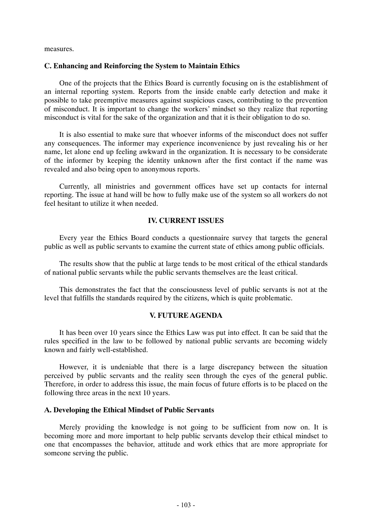measures.

#### **C. Enhancing and Reinforcing the System to Maintain Ethics**

One of the projects that the Ethics Board is currently focusing on is the establishment of an internal reporting system. Reports from the inside enable early detection and make it possible to take preemptive measures against suspicious cases, contributing to the prevention of misconduct. It is important to change the workers' mindset so they realize that reporting misconduct is vital for the sake of the organization and that it is their obligation to do so.

It is also essential to make sure that whoever informs of the misconduct does not suffer any consequences. The informer may experience inconvenience by just revealing his or her name, let alone end up feeling awkward in the organization. It is necessary to be considerate of the informer by keeping the identity unknown after the first contact if the name was revealed and also being open to anonymous reports.

Currently, all ministries and government offices have set up contacts for internal reporting. The issue at hand will be how to fully make use of the system so all workers do not feel hesitant to utilize it when needed.

#### **IV. CURRENT ISSUES**

Every year the Ethics Board conducts a questionnaire survey that targets the general public as well as public servants to examine the current state of ethics among public officials.

The results show that the public at large tends to be most critical of the ethical standards of national public servants while the public servants themselves are the least critical.

This demonstrates the fact that the consciousness level of public servants is not at the level that fulfills the standards required by the citizens, which is quite problematic.

#### **V. FUTURE AGENDA**

It has been over 10 years since the Ethics Law was put into effect. It can be said that the rules specified in the law to be followed by national public servants are becoming widely known and fairly well-established.

However, it is undeniable that there is a large discrepancy between the situation perceived by public servants and the reality seen through the eyes of the general public. Therefore, in order to address this issue, the main focus of future efforts is to be placed on the following three areas in the next 10 years.

#### **A. Developing the Ethical Mindset of Public Servants**

Merely providing the knowledge is not going to be sufficient from now on. It is becoming more and more important to help public servants develop their ethical mindset to one that encompasses the behavior, attitude and work ethics that are more appropriate for someone serving the public.